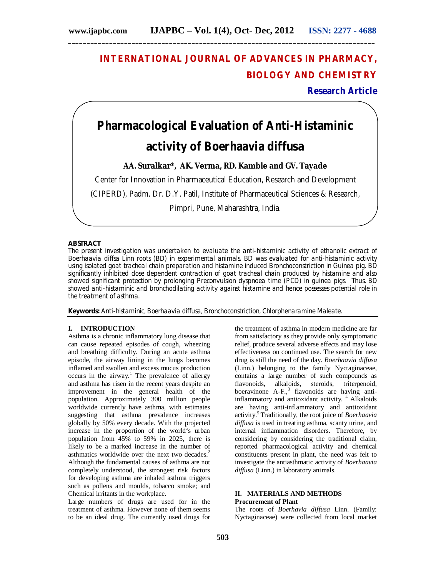# **INTERNATIONAL JOURNAL OF ADVANCES IN PHARMACY, BIOLOGY AND CHEMISTRY**

**Research Article**

# **Pharmacological Evaluation of Anti-Histaminic**

# **activity of** *Boerhaavia diffusa*

**AA. Suralkar\*, AK. Verma, RD. Kamble and GV. Tayade**

Center for Innovation in Pharmaceutical Education, Research and Development

(CIPERD), Padm. Dr. D.Y. Patil, Institute of Pharmaceutical Sciences & Research,

Pimpri, Pune, Maharashtra, India.

#### **ABSTRACT**

The present investigation was undertaken to evaluate the anti-histaminic activity of ethanolic extract of *Boerhaavia diffsa* Linn roots (BD) in experimental animals. BD was evaluated for anti-histaminic activity using isolated goat tracheal chain preparation and histamine induced Bronchoconstriction in Guinea pig. BD significantly inhibited dose dependent contraction of goat tracheal chain produced by histamine and also showed significant protection by prolonging Preconvulsion dyspnoea time (PCD) in guinea pigs. Thus, BD showed anti-histaminic and bronchodilating activity against histamine and hence possesses potential role in the treatment of asthma.

**Keywords:** Anti-histaminic, *Boerhaavia diffusa,* Bronchoconstriction, Chlorphenaramine Maleate.

### **I. INTRODUCTION**

Asthma is a chronic inflammatory lung disease that can cause repeated episodes of cough, wheezing and breathing difficulty. During an acute asthma episode, the airway lining in the lungs becomes inflamed and swollen and excess mucus production occurs in the airway.<sup>1</sup> The prevalence of allergy and asthma has risen in the recent years despite an improvement in the general health of the population. Approximately 300 million people worldwide currently have asthma, with estimates suggesting that asthma prevalence increases globally by 50% every decade. With the projected increase in the proportion of the world's urban population from 45% to 59% in 2025, there is likely to be a marked increase in the number of asthmatics worldwide over the next two decades.<sup>2</sup> Although the fundamental causes of asthma are not completely understood, the strongest risk factors for developing asthma are inhaled asthma triggers such as pollens and moulds, tobacco smoke; and Chemical irritants in the workplace.

Large numbers of drugs are used for in the treatment of asthma. However none of them seems to be an ideal drug. The currently used drugs for

the treatment of asthma in modern medicine are far from satisfactory as they provide only symptomatic relief, produce several adverse effects and may lose effectiveness on continued use. The search for new drug is still the need of the day. *Boerhaavia diffusa* (Linn.) belonging to the family Nyctaginaceae, contains a large number of such compounds as flavonoids, alkaloids, steroids, triterpenoid, boeravinone A-F.,<sup>3</sup> flavonoids are having antiinflammatory and antioxidant activity.<sup>4</sup> Alkaloids are having anti-inflammatory and antioxidant activity.<sup>5</sup>Traditionally, the root juice of *Boerhaavia diffusa* is used in treating asthma, scanty urine, and internal inflammation disorders. Therefore, by considering by considering the traditional claim, reported pharmacological activity and chemical constituents present in plant, the need was felt to investigate the antiasthmatic activity of *Boerhaavia diffusa* (Linn.) in laboratory animals.

#### **II. MATERIALS AND METHODS Procurement of Plant**

The roots of *Boerhavia diffusa* Linn. (Family: Nyctaginaceae) were collected from local market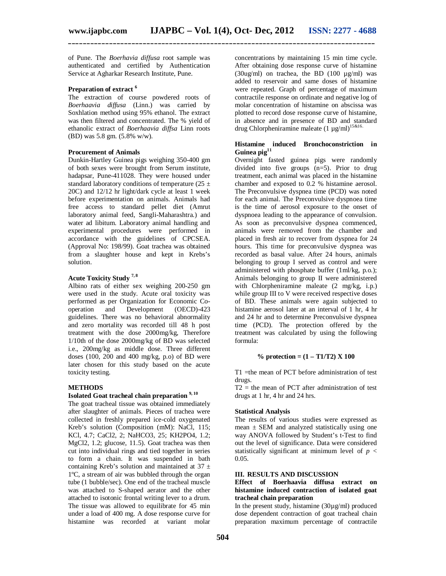**\_\_\_\_\_\_\_\_\_\_\_\_\_\_\_\_\_\_\_\_\_\_\_\_\_\_\_\_\_\_\_\_\_\_\_\_\_\_\_\_\_\_\_\_\_\_\_\_\_\_\_\_\_\_\_\_\_\_\_\_\_\_\_\_\_\_\_\_\_\_\_\_\_\_\_\_\_\_\_\_\_\_**

of Pune. The *Boerhavia diffusa* root sample was authenticated and certified by Authentication Service at Agharkar Research Institute, Pune.

# **Preparation of extract <sup>6</sup>**

The extraction of course powdered roots of *Boerhaavia diffusa* (Linn.) was carried by Soxhlation method using 95% ethanol. The extract was then filtered and concentrated. The % yield of ethanolic extract of *Boerhaavia diffsa* Linn roots (BD) was 5.8 gm. (5.8% w/w).

#### **Procurement of Animals**

Dunkin-Hartley Guinea pigs weighing 350-400 gm of both sexes were brought from Serum institute, hadapsar, Pune-411028. They were housed under standard laboratory conditions of temperature (25  $\pm$ 20C) and 12/12 hr light/dark cycle at least 1 week before experimentation on animals. Animals had free access to standard pellet diet (Amrut laboratory animal feed, Sangli-Maharashtra.) and water ad libitum. Laboratory animal handling and experimental procedures were performed in accordance with the guidelines of CPCSEA. (Approval No: 198/99). Goat trachea was obtained from a slaughter house and kept in Krebs's solution.

# **Acute Toxicity Study 7, 8**

Albino rats of either sex weighing 200-250 gm were used in the study. Acute oral toxicity was performed as per Organization for Economic Cooperation and Development (OECD)-423 guidelines. There was no behavioral abnormality and zero mortality was recorded till 48 h post treatment with the dose 2000mg/kg, Therefore 1/10th of the dose 2000mg/kg of BD was selected i.e., 200mg/kg as middle dose. Three different doses (100, 200 and 400 mg/kg, p.o) of BD were later chosen for this study based on the acute toxicity testing.

#### **METHODS**

### **Isolated Goat tracheal chain preparation 9, 10**

The goat tracheal tissue was obtained immediately after slaughter of animals. Pieces of trachea were collected in freshly prepared ice-cold oxygenated Kreb's solution (Composition (mM): NaCl, 115; KCl, 4.7; CaCl2, 2; NaHCO3, 25; KH2PO4, 1.2; MgCl2, 1.2; glucose, 11.5). Goat trachea was then cut into individual rings and tied together in series to form a chain. It was suspended in bath containing Kreb's solution and maintained at  $37 \pm$ 1ºC, a stream of air was bubbled through the organ tube (1 bubble/sec). One end of the tracheal muscle was attached to S-shaped aerator and the other attached to isotonic frontal writing lever to a drum. The tissue was allowed to equilibrate for 45 min under a load of 400 mg. A dose response curve for histamine was recorded at variant molar

concentrations by maintaining 15 min time cycle. After obtaining dose response curve of histamine  $(30u\text{g/ml})$  on trachea, the BD  $(100 \text{u}\text{g/ml})$  was added to reservoir and same doses of histamine were repeated. Graph of percentage of maximum contractile response on ordinate and negative log of molar concentration of histamine on abscissa was plotted to record dose response curve of histamine, in absence and in presence of BD and standard drug Chlorpheniramine maleate  $(1 \mu g/ml)^{15\&16}$ .

#### **Histamine induced Bronchoconstriction in Guinea pig<sup>11</sup>**

Overnight fasted guinea pigs were randomly divided into five groups (n=5). Prior to drug treatment, each animal was placed in the histamine chamber and exposed to 0.2 % histamine aerosol. The Preconvulsive dyspnea time (PCD) was noted for each animal. The Preconvulsive dyspnoea time is the time of aerosol exposure to the onset of dyspnoea leading to the appearance of convulsion. As soon as preconvulsive dyspnea commenced, animals were removed from the chamber and placed in fresh air to recover from dyspnea for 24 hours. This time for preconvulsive dyspnea was recorded as basal value. After 24 hours, animals belonging to group I served as control and were administered with phosphate buffer (1ml/kg, p.o.); Animals belonging to group II were administered with Chlorpheniramine maleate (2 mg/kg, i.p.) while group III to V were received respective doses of BD. These animals were again subjected to histamine aerosol later at an interval of 1 hr, 4 hr and 24 hr and to determine Preconvulsive dyspnea time (PCD). The protection offered by the treatment was calculated by using the following formula:

#### **% protection = (1 – T1/T2) X 100**

T1 =the mean of PCT before administration of test drugs.

 $T2$  = the mean of PCT after administration of test drugs at 1 hr, 4 hr and 24 hrs.

#### **Statistical Analysis**

The results of various studies were expressed as mean  $\pm$  SEM and analyzed statistically using one way ANOVA followed by Student's t-Test to find out the level of significance. Data were considered statistically significant at minimum level of  $p <$ 0.05.

#### **III. RESULTS AND DISCUSSION**

#### **Effect of Boerhaavia diffusa extract on histamine induced contraction of isolated goat tracheal chain preparation**

In the present study, histamine  $(30\mu g/ml)$  produced dose dependent contraction of goat tracheal chain preparation maximum percentage of contractile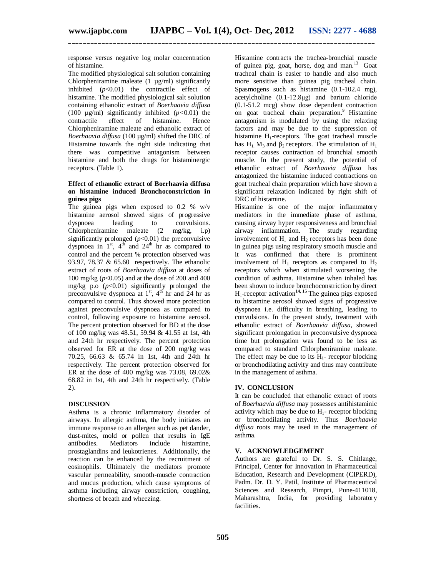**\_\_\_\_\_\_\_\_\_\_\_\_\_\_\_\_\_\_\_\_\_\_\_\_\_\_\_\_\_\_\_\_\_\_\_\_\_\_\_\_\_\_\_\_\_\_\_\_\_\_\_\_\_\_\_\_\_\_\_\_\_\_\_\_\_\_\_\_\_\_\_\_\_\_\_\_\_\_\_\_\_\_**

response versus negative log molar concentration of histamine.

The modified physiological salt solution containing Chlorpheniramine maleate  $(1 \mu g/ml)$  significantly inhibited  $(p<0.01)$  the contractile effect of histamine. The modified physiological salt solution containing ethanolic extract of *Boerhaavia diffusa*  (100  $\mu$ g/ml) significantly inhibited ( $p$ <0.01) the contractile effect of histamine. Hence Chlorpheniramine maleate and ethanolic extract of *Boerhaavia diffusa* (100 µg/ml) shifted the DRC of Histamine towards the right side indicating that there was competitive antagonism between histamine and both the drugs for histaminergic receptors. (Table 1).

#### **Effect of ethanolic extract of Boerhaavia diffusa on histamine induced Bronchoconstriction in guinea pigs**

The guinea pigs when exposed to 0.2 % w/v histamine aerosol showed signs of progressive dyspnoea leading to convulsions. Chlorpheniramine maleate (2 mg/kg, i.p) significantly prolonged (*p*<0.01) the preconvulsive dyspnoea in  $1<sup>st</sup>$ ,  $4<sup>th</sup>$  and  $24<sup>th</sup>$  hr as compared to control and the percent % protection observed was 93.97, 78.37 & 65.60 respectively. The ethanolic extract of roots of *Boerhaavia diffusa* at doses of 100 mg/kg (*p*<0.05) and at the dose of 200 and 400 mg/kg p.o (*p*<0.01) significantly prolonged the preconvulsive dyspnoea at  $1<sup>st</sup>$ ,  $4<sup>th</sup>$  hr and 24 hr as compared to control. Thus showed more protection against preconvulsive dyspnoea as compared to control, following exposure to histamine aerosol. The percent protection observed for BD at the dose of 100 mg/kg was 48.51, 59.94 & 41.55 at 1st, 4th and 24th hr respectively. The percent protection observed for ER at the dose of 200 mg/kg was 70.25, 66.63 & 65.74 in 1st, 4th and 24th hr respectively. The percent protection observed for ER at the dose of 400 mg/kg was 73.08, 69.02 $\&$ 68.82 in 1st, 4th and 24th hr respectively. (Table 2).

#### **DISCUSSION**

Asthma is a chronic inflammatory disorder of airways. In allergic asthma, the body initiates an immune response to an allergen such as pet dander, dust-mites, mold or pollen that results in IgE<br>antibodies. Mediators include histamine. antibodies. Mediators include histamine, prostaglandins and leukotrienes. Additionally, the reaction can be enhanced by the recruitment of eosinophils. Ultimately the mediators promote vascular permeability, smooth-muscle contraction and mucus production, which cause symptoms of asthma including airway constriction, coughing, shortness of breath and wheezing.

Histamine contracts the trachea-bronchial muscle of guinea pig, goat, horse, dog and man.<sup>13</sup> Goat tracheal chain is easier to handle and also much more sensitive than guinea pig tracheal chain. Spasmogens such as histamine (0.1-102.4 mg), acetylcholine (0.1-12.8μg) and barium chloride (0.1-51.2 mcg) show dose dependent contraction on goat tracheal chain preparation.<sup>9</sup> Histamine antagonism is modulated by using the relaxing factors and may be due to the suppression of histamine  $H_1$ -receptors. The goat tracheal muscle has  $H_1$ ,  $M_3$  and  $\beta_2$  receptors. The stimulation of  $H_1$ receptor causes contraction of bronchial smooth muscle. In the present study, the potential of ethanolic extract of *Boerhaavia diffusa* has antagonized the histamine induced contractions on goat tracheal chain preparation which have shown a significant relaxation indicated by right shift of DRC of histamine.

Histamine is one of the major inflammatory mediators in the immediate phase of asthma, causing airway hyper responsiveness and bronchial airway inflammation. The study regarding involvement of  $H_1$  and  $H_2$  receptors has been done in guinea pigs using respiratory smooth muscle and it was confirmed that there is prominent involvement of  $H_1$  receptors as compared to  $H_2$ receptors which when stimulated worsening the condition of asthma. Histamine when inhaled has been shown to induce bronchoconstriction by direct H1-receptor activation**14, 15** The guinea pigs exposed to histamine aerosol showed signs of progressive dyspnoea i.e. difficulty in breathing, leading to convulsions. In the present study, treatment with ethanolic extract of *Boerhaavia diffusa*, showed significant prolongation in preconvulsive dyspnoea time but prolongation was found to be less as compared to standard Chlorpheniramine maleate. The effect may be due to its  $H_1$ - receptor blocking or bronchodilating activity and thus may contribute in the management of asthma.

#### **IV. CONCLUSION**

It can be concluded that ethanolic extract of roots of *Boerhaavia diffusa* may possesses antihistaminic activity which may be due to  $H_1$ - receptor blocking or bronchodilating activity. Thus *Boerhaavia diffusa* roots may be used in the management of asthma.

#### **V. ACKNOWLEDGEMENT**

Authors are grateful to Dr. S. S. Chitlange, Principal, Center for Innovation in Pharmaceutical Education, Research and Development (CIPERD), Padm. Dr. D. Y. Patil, Institute of Pharmaceutical Sciences and Research, Pimpri, Pune-411018, Maharashtra, India, for providing laboratory facilities.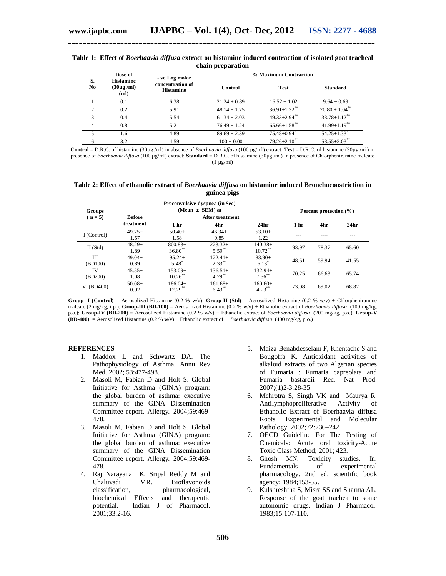#### **Table 1: Effect of** *Boerhaavia diffusa* **extract on histamine induced contraction of isolated goat tracheal chain preparation**

**\_\_\_\_\_\_\_\_\_\_\_\_\_\_\_\_\_\_\_\_\_\_\_\_\_\_\_\_\_\_\_\_\_\_\_\_\_\_\_\_\_\_\_\_\_\_\_\_\_\_\_\_\_\_\_\_\_\_\_\_\_\_\_\_\_\_\_\_\_\_\_\_\_\_\_\_\_\_\_\_\_\_**

| S.<br>N <sub>0</sub> | Dose of<br><b>Histamine</b><br>$(30\mu g/ml)$<br>(ml) | - ve Log molar<br>concentration of<br><b>Histamine</b> | % Maximum Contraction |                                |                                |  |
|----------------------|-------------------------------------------------------|--------------------------------------------------------|-----------------------|--------------------------------|--------------------------------|--|
|                      |                                                       |                                                        | Control               | <b>Test</b>                    | <b>Standard</b>                |  |
|                      | 0.1                                                   | 6.38                                                   | $21.24 \pm 0.89$      | $16.52 + 1.02$                 | $9.64 \pm 0.69$                |  |
| $\mathcal{L}$        | 0.2                                                   | 5.91                                                   | $48.14 + 1.75$        | $36.91 \pm 1.32$ **            | $20.80 \pm 1.04$ <sup>**</sup> |  |
| $\mathbf{\hat{z}}$   | 0.4                                                   | 5.54                                                   | $61.34 \pm 2.03$      | $49.33 \pm 2.94$ **            | $33.78 \pm 1.12$ **            |  |
| 4                    | 0.8                                                   | 5.21                                                   | $76.49 + 1.24$        | $65.66 \pm 1.58$ <sup>**</sup> | $41.99 \pm 1.19$ **            |  |
|                      | 1.6                                                   | 4.89                                                   | $89.69 \pm 2.39$      | $75.48 \pm 0.94$ <sup>**</sup> | $54.25 \pm 1.33$               |  |
| 6                    | 3.2                                                   | 4.59                                                   | $100 + 0.00$          | $79.26 \pm 2.10^{**}$          | $58.55 \pm 2.03$ **            |  |

**Control** = D.R.C. of histamine (30µg /ml) in absence of *Boerhaavia diffusa* (100 µg/ml) extract; **Test** = D.R.C. of histamine (30µg /ml) in presence of *Boerhaavia diffusa* (100 µg/ml) extract; **Standard** = D.R.C. of histamine (30µg /ml) in presence of Chlorpheniramine maleate  $(1 \text{ µg/ml})$ 

**Table 2: Effect of ethanolic extract of** *Boerhaavia diffusa* **on histamine induced Bronchoconstriction in guinea pigs**

| Groups        | Preconvulsive dyspnea (in Sec)<br>(Mean $\pm$ SEM) at |                                                           |                           |                            |                 | Percent protection (%) |                  |  |
|---------------|-------------------------------------------------------|-----------------------------------------------------------|---------------------------|----------------------------|-----------------|------------------------|------------------|--|
| $(n = 5)$     | <b>Before</b><br>treatment                            | <b>After treatment</b><br>24 <sub>hr</sub><br>1 hr<br>4hr |                           |                            | 1 <sub>hr</sub> | 4hr                    | 24 <sub>hr</sub> |  |
| I (Control)   | $49.75+$<br>1.57                                      | $50.40+$<br>1.58                                          | $46.34+$<br>0.85          | 53.10 $\pm$<br>1.22        |                 |                        |                  |  |
| $II$ (Std)    | $48.29+$<br>1.89                                      | $800.83+$<br>$36.80**$                                    | $223.32+$<br>$5.59***$    | $140.38 \pm$<br>$10.72***$ | 93.97           | 78.37                  | 65.60            |  |
| Ш<br>(BD100)  | $49.04+$<br>0.89                                      | $95.24+$<br>5.48                                          | $122.41+$<br>$2.33***$    | $83.90 \pm$<br>$6.13*$     | 48.51           | 59.94                  | 41.55            |  |
| IV<br>(BD200) | $45.55+$<br>1.08                                      | $153.09+$<br>$10.26***$                                   | $136.51 \pm$<br>$4.29***$ | $132.94 \pm$<br>$7.36***$  | 70.25           | 66.63                  | 65.74            |  |
| (BD400)<br>V  | $50.08\pm$<br>0.92                                    | $186.04 \pm$<br>$12.29***$                                | $161.68 \pm$<br>$6.43***$ | $160.60 \pm$<br>$4.23***$  | 73.08           | 69.02                  | 68.82            |  |

**Group- I (Control)** = Aerosolized Histamine (0.2 % w/v); **Group-II (Std)** = Aerosolized Histamine (0.2 % w/v) + Chlorpheniramine maleate (2 mg/kg, i.p.); **Group-III (BD-100)** = Aerosolized Histamine (0.2 % w/v) + Ethanolic extract of *Boerhaavia diffusa* (100 mg/kg, p.o.); **Group-IV (BD-200**) = Aerosolized Histamine (0.2 % w/v) + Ethanolic extract of *Boerhaavia diffusa* (200 mg/kg, p.o.); **Group-V (BD-400)** = Aerosolized Histamine (0.2 % w/v) + Ethanolic extract of *Boerhaavia diffusa* (400 mg/kg, p.o.)

#### **REFERENCES**

- 1. Maddox L and Schwartz DA. The Pathophysiology of Asthma. Annu Rev Med. 2002; 53:477-498.
- 2. Masoli M, Fabian D and Holt S. Global Initiative for Asthma (GINA) program: the global burden of asthma: executive summary of the GINA Dissemination Committee report. Allergy. 2004;59:469- 478.
- 3. Masoli M, Fabian D and Holt S. Global Initiative for Asthma (GINA) program: the global burden of asthma: executive summary of the GINA Dissemination Committee report. Allergy. 2004;59:469- 478.
- 4. Raj Narayana K, Sripal Reddy M and Chaluvadi MR. Bioflavonoids classification, pharmacological, biochemical Effects and therapeutic potential. Indian J of Pharmacol. 2001;33:2-16.
- 5. Maiza-Benabdesselam F, Khentache S and Bougoffa K. Antioxidant activities of alkaloid extracts of two Algerian species of Fumaria : Fumaria capreolata and Fumaria bastardii Rec. Nat Prod. 2007;(1)2-3:28-35.
- 6. Mehrotra S, Singh VK and Maurya R. Antilymphoproliferative Activity of Ethanolic Extract of Boerhaavia diffusa Roots. Experimental and Molecular Pathology. 2002;72:236–242
- 7. OECD Guideline For The Testing of Chemicals: Acute oral toxicity-Acute Toxic Class Method; 2001; 423.
- 8. Ghosh MN. Toxicity studies. In: Fundamentals of experimental pharmacology. 2nd ed. scientific book agency; 1984;153-55.
- 9. Kulshreshtha S, Misra SS and Sharma AL. Response of the goat trachea to some autonomic drugs. Indian J Pharmacol. 1983;15:107-110.